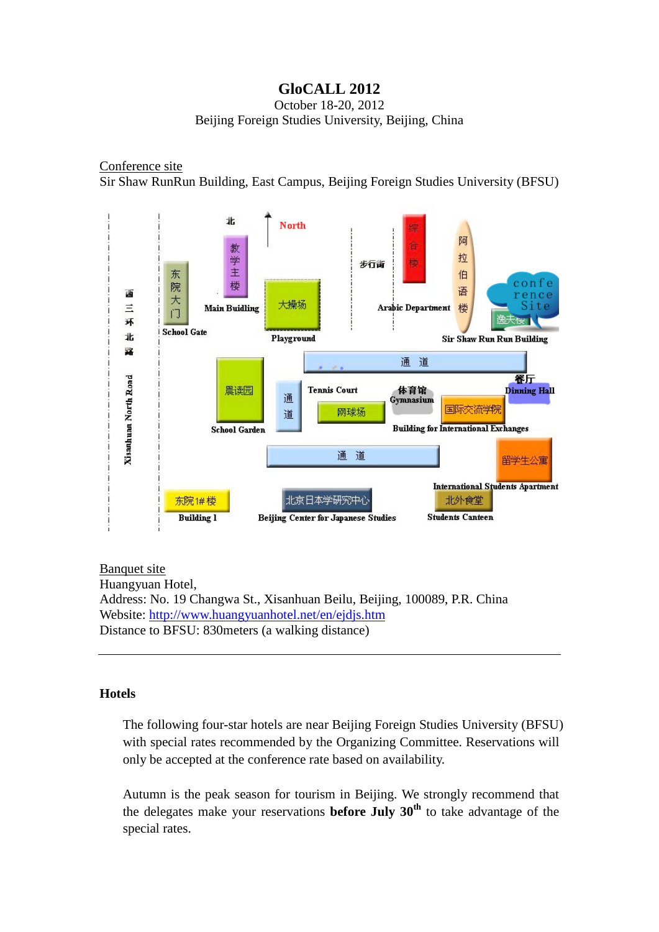# **GloCALL 2012**

October 18-20, 2012 Beijing Foreign Studies University, Beijing, China

# Conference site

Sir Shaw RunRun Building, East Campus, Beijing Foreign Studies University (BFSU)



Banquet site Huangyuan Hotel, Address: No. 19 Changwa St., Xisanhuan Beilu, Beijing, 100089, P.R. China Website:<http://www.huangyuanhotel.net/en/ejdjs.htm> Distance to BFSU: 830meters (a walking distance)

### **Hotels**

The following four-star hotels are near Beijing Foreign Studies University (BFSU) with special rates recommended by the Organizing Committee. Reservations will only be accepted at the conference rate based on availability.

Autumn is the peak season for tourism in Beijing. We strongly recommend that the delegates make your reservations **before July**  $30<sup>th</sup>$  to take advantage of the special rates.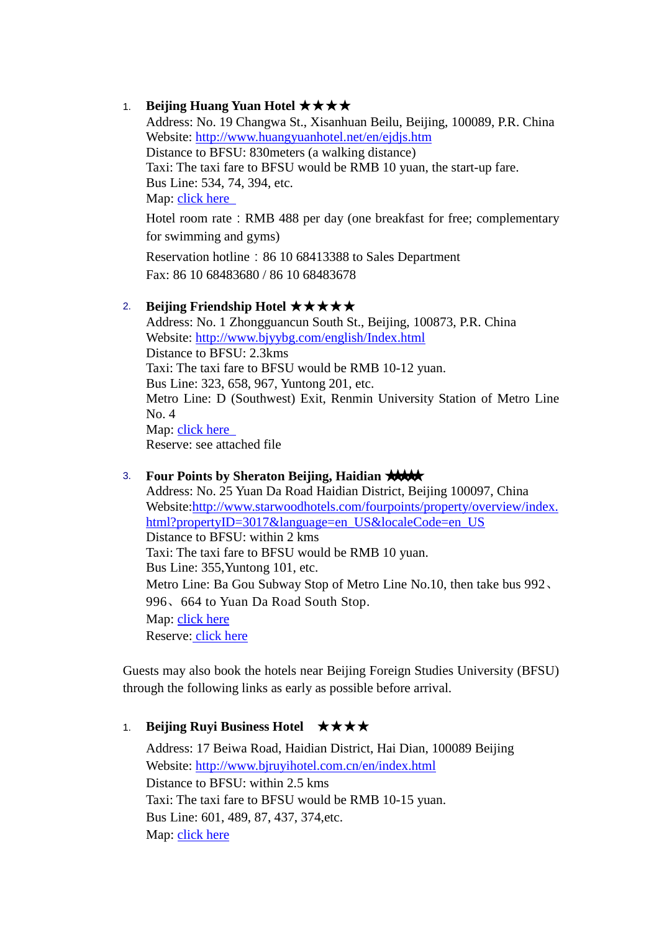## 1. **Beijing Huang Yuan Hotel** ★★★★

Address: No. 19 Changwa St., Xisanhuan Beilu, Beijing, 100089, P.R. China Website:<http://www.huangyuanhotel.net/en/ejdjs.htm> Distance to BFSU: 830meters (a walking distance) Taxi: The taxi fare to BFSU would be RMB 10 yuan, the start-up fare. Bus Line: 534, 74, 394, etc. Map: click here

Hotel room rate: RMB 488 per day (one breakfast for free; complementary for swimming and gyms)

Reservation hotline: 86 10 68413388 to Sales Department Fax: 86 10 68483680 / 86 10 68483678

# 2. **Beijing Friendship Hotel** ★★★★★

Address: No. 1 Zhongguancun South St., Beijing, 100873, P.R. China Website:<http://www.bjyybg.com/english/Index.html> Distance to BFSU: 2.3kms Taxi: The taxi fare to BFSU would be RMB 10-12 yuan. Bus Line: 323, 658, 967, Yuntong 201, etc. Metro Line: D (Southwest) Exit, Renmin University Station of Metro Line No. 4 Map: [click here](http://www.fltrp.com/download/11030113.doc)  Reserve: see attached fil[e](http://www.fltrp.com/download/11030115.doc)

# 3. **Four Points by Sheraton Beijing, Haidian ★★★★**

Address: No. 25 Yuan Da Road Haidian District, Beijing 100097, China Website[:http://www.starwoodhotels.com/fourpoints/property/overview/index.](http://www.starwoodhotels.com/fourpoints/property/overview/index.html?propertyID=3017&language=en_US&localeCode=en_US) [html?propertyID=3017&language=en\\_US&localeCode=en\\_US](http://www.starwoodhotels.com/fourpoints/property/overview/index.html?propertyID=3017&language=en_US&localeCode=en_US) Distance to BFSU: within 2 kms Taxi: The taxi fare to BFSU would be RMB 10 yuan. Bus Line: 355,Yuntong 101, etc. Metro Line: Ba Gou Subway Stop of Metro Line No.10, then take bus 992、 996、664 to Yuan Da Road South Stop. Map: [click here](http://www.starwoodhotels.com/fourpoints/property/area/map.html?propertyID=3017) Reserve: [click here](https://www.starwoodmeeting.com/StarGroupsWeb/booking/reservation?id=1205299112&key=7F1DC)

Guests may also book the hotels near Beijing Foreign Studies University (BFSU) through the following links as early as possible before arrival.

# 1. **Beijing Ruyi Business Hotel** ★★★★

Address: 17 Beiwa Road, Haidian District, Hai Dian, 100089 Beijing Website:<http://www.bjruyihotel.com.cn/en/index.html> Distance to BFSU: within 2.5 kms Taxi: The taxi fare to BFSU would be RMB 10-15 yuan. Bus Line: 601, 489, 87, 437, 374,etc. Map: [click here](http://hotels.english.ctrip.com/shanghai-hotel-map-56900/beijing-ruyi-business-hotel)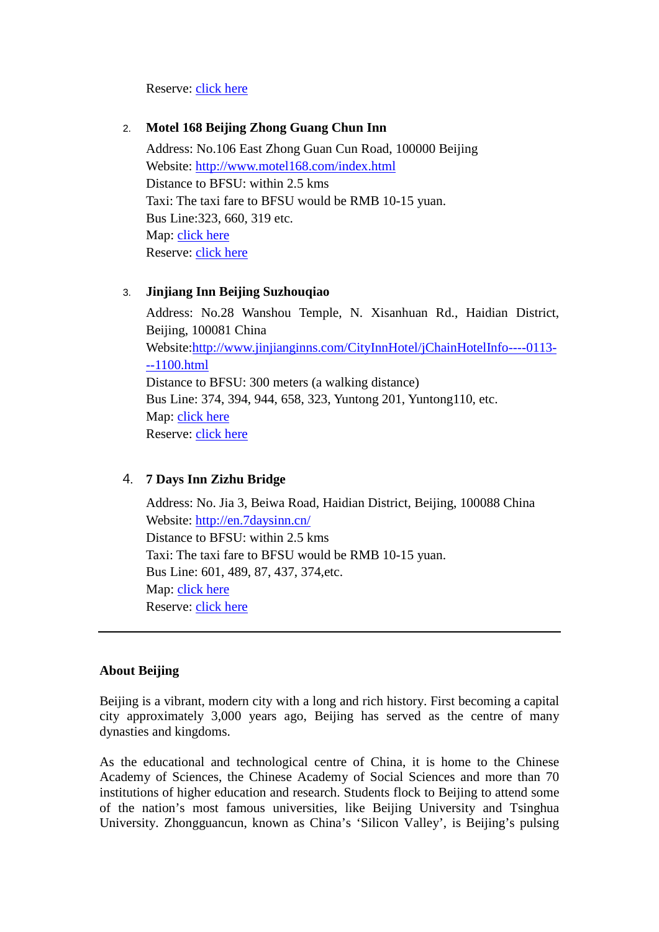### Reserve: [click here](http://www.booking.com/hotel/cn/beijing-yihai-business.en-us.html?aid=309654;label=bookings-naam-kNOvOgKLF_Mo6%2AYMwgFZfgS4135967422;sid=a9133970f2e370f36ac89c173b6ce8e1;dcid=1;checkin=2012-10-17;checkout=2012-10-18;srfid=aec21b7ae8986274a73800b2da59e7e5X2)

### 2. **Motel 168 Beijing Zhong Guang Chun Inn**

Address: No.106 East Zhong Guan Cun Road, 100000 Beijing Website: <http://www.motel168.com/index.html> Distance to BFSU: within 2.5 kms Taxi: The taxi fare to BFSU would be RMB 10-15 yuan. Bus Line:323, 660, 319 etc. Map: [click here](http://www.hotels.com/hotel/details.html?pa=7&pn=1&ps=7&tab=description&destinationId=243351&searchDestination=Beijing&hotelId=346185&arrivalDate=17-10-2012&departureDate=18-10-2012&rooms%5b0%5d.numberOfAdults=1&roomno=1&validate=false&previousDateful=false&reviewOrder=date_newest_first#maps) Reserve: [click here](http://www.hotels.com/hotel/details.html?pa=7&pn=1&ps=7&tab=description&destinationId=243351&searchDestination=Beijing&hotelId=346185&arrivalDate=17-10-2012&departureDate=18-10-2012&rooms%5b0%5d.numberOfAdults=1&roomno=1&validate=false&previousDateful=false&re)

### 3. **Jinjiang Inn Beijing Suzhouqiao**

Address: No.28 Wanshou Temple, N. Xisanhuan Rd., Haidian District, Beijing, 100081 China Website[:http://www.jinjianginns.com/CityInnHotel/jChainHotelInfo----0113-](http://www.jinjianginns.com/CityInnHotel/jChainHotelInfo----0113---1100.html) [--1100.html](http://www.jinjianginns.com/CityInnHotel/jChainHotelInfo----0113---1100.html) Distance to BFSU: 300 meters (a walking distance) Bus Line: 374, 394, 944, 658, 323, Yuntong 201, Yuntong110, etc. Map: [click here](http://www.hotels.com/hotel/details.html?pa=13&pn=1&ps=13&tab=description&destinationId=243351&searchDestination=Beijing&hotelId=375986&arrivalDate=17-10-2012&departureDate=18-10-2012&rooms%5b0%5d.numberOfAdults=1&roomno=1&validate=false&previousDateful=false&) Reserve: [click here](http://www.hotels.com/hotel/details.html?pa=13&pn=1&ps=13&tab=description&destinationId=243351&searchDestination=Beijing&hotelId=375986&arrivalDate=17-10-2012&departureDate=18-10-2012&rooms%5b0%5d.numberOfAdults=1&roomno=1&validate=false&previousDateful=false&)

# 4. **7 Days Inn Zizhu Bridge**

Address: No. Jia 3, Beiwa Road, Haidian District, Beijing, 100088 China Website:<http://en.7daysinn.cn/> Distance to BFSU: within 2.5 kms Taxi: The taxi fare to BFSU would be RMB 10-15 yuan. Bus Line: 601, 489, 87, 437, 374,etc. Map: [click here](http://www.hotels.com/hotel/details.html?pa=1&pn=1&ps=1&tab=description&destinationId=243351&searchDestination=Beijing&hotelId=387507&rooms%5b0%5d.numberOfAdults=1&roomno=1&validate=false&previousDateful=false&reviewOrder=date_newest_first#maps) Reserve: [click here](http://www.hotels.com/hotel/details.html?pa=1&pn=1&ps=1&tab=description&destinationId=243351&searchDestination=Beijing&hotelId=387507&rooms%5b0%5d.numberOfAdults=1&roomno=1&validate=false&previousDateful=false&reviewOrder=date_newest_first#description)

### **About Beijing**

Beijing is a vibrant, modern city with a long and rich history. First becoming a capital city approximately 3,000 years ago, Beijing has served as the centre of many dynasties and kingdoms.

As the educational and technological centre of China, it is home to the Chinese Academy of Sciences, the Chinese Academy of Social Sciences and more than 70 institutions of higher education and research. Students flock to Beijing to attend some of the nation's most famous universities, like Beijing University and Tsinghua University. Zhongguancun, known as China's 'Silicon Valley', is Beijing's pulsing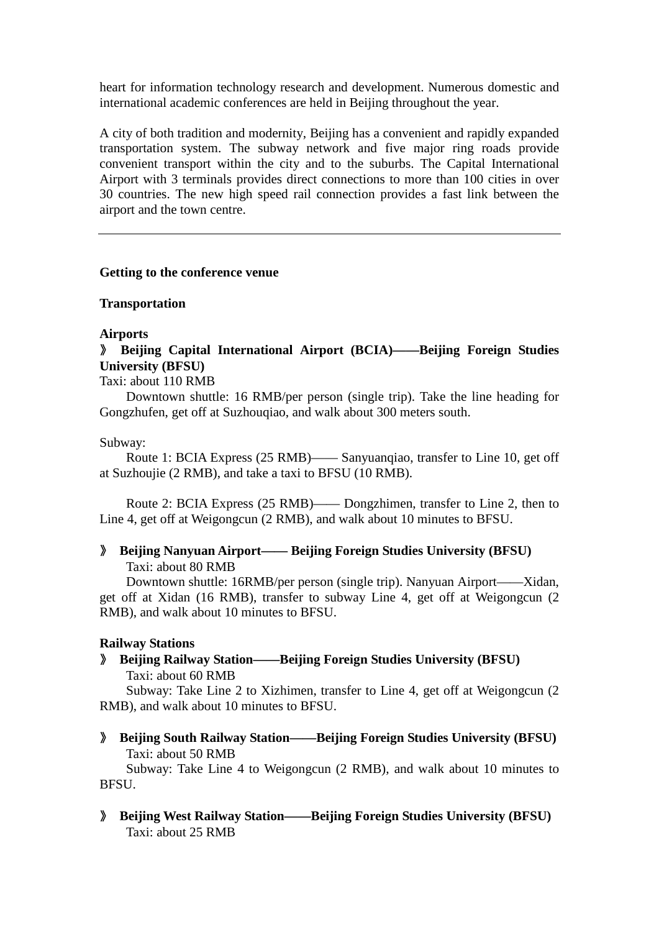heart for information technology research and development. Numerous domestic and international academic conferences are held in Beijing throughout the year.

A city of both tradition and modernity, Beijing has a convenient and rapidly expanded transportation system. The subway network and five major ring roads provide convenient transport within the city and to the suburbs. The Capital International Airport with 3 terminals provides direct connections to more than 100 cities in over 30 countries. The new high speed rail connection provides a fast link between the airport and the town centre.

#### **Getting to the conference venue**

#### **Transportation**

#### **Airports**

# 》 **Beijing Capital International Airport (BCIA)——Beijing Foreign Studies University (BFSU)**

Taxi: about 110 RMB

 Downtown shuttle: 16 RMB/per person (single trip). Take the line heading for Gongzhufen, get off at Suzhouqiao, and walk about 300 meters south.

#### Subway:

 Route 1: BCIA Express (25 RMB)—— Sanyuanqiao, transfer to Line 10, get off at Suzhoujie (2 RMB), and take a taxi to BFSU (10 RMB).

 Route 2: BCIA Express (25 RMB)—— Dongzhimen, transfer to Line 2, then to Line 4, get off at Weigongcun (2 RMB), and walk about 10 minutes to BFSU.

### 》 **Beijing Nanyuan Airport—— Beijing Foreign Studies University (BFSU)** Taxi: about 80 RMB

 Downtown shuttle: 16RMB/per person (single trip). Nanyuan Airport——Xidan, get off at Xidan (16 RMB), transfer to subway Line 4, get off at Weigongcun (2 RMB), and walk about 10 minutes to BFSU.

### **Railway Stations**

》 **Beijing Railway Station——Beijing Foreign Studies University (BFSU)** Taxi: about 60 RMB

 Subway: Take Line 2 to Xizhimen, transfer to Line 4, get off at Weigongcun (2 RMB), and walk about 10 minutes to BFSU.

》 **Beijing South Railway Station——Beijing Foreign Studies University (BFSU)** Taxi: about 50 RMB

 Subway: Take Line 4 to Weigongcun (2 RMB), and walk about 10 minutes to **BFSU** 

》 **Beijing West Railway Station——Beijing Foreign Studies University (BFSU)** Taxi: about 25 RMB